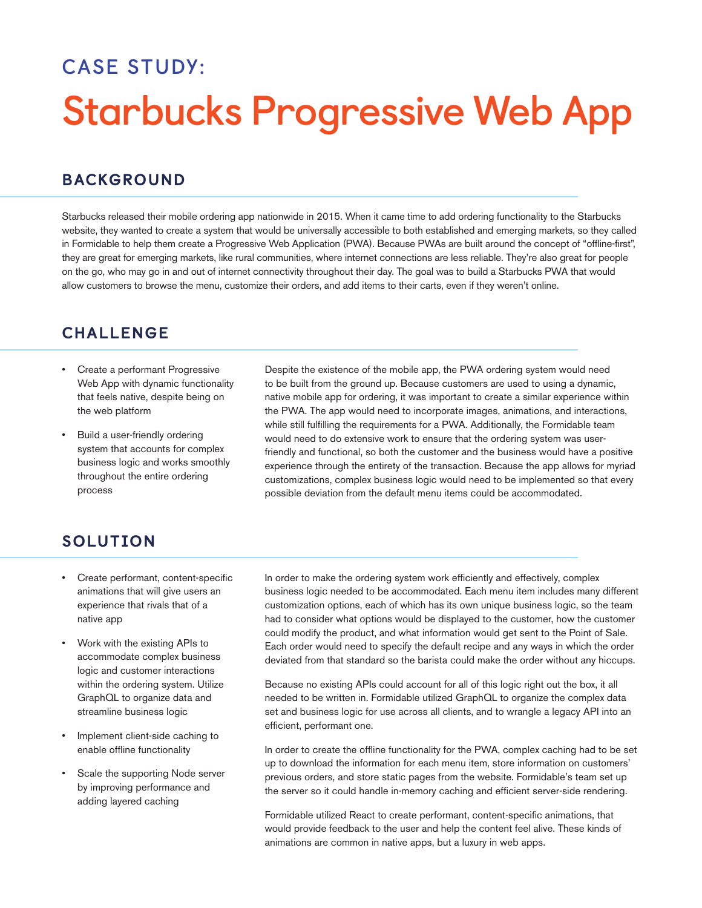# **CASE STUDY: Starbucks Progressive Web App**

### BACKGROUND

Starbucks released their mobile ordering app nationwide in 2015. When it came time to add ordering functionality to the Starbucks website, they wanted to create a system that would be universally accessible to both established and emerging markets, so they called in Formidable to help them create a Progressive Web Application (PWA). Because PWAs are built around the concept of "offline-first", they are great for emerging markets, like rural communities, where internet connections are less reliable. They're also great for people on the go, who may go in and out of internet connectivity throughout their day. The goal was to build a Starbucks PWA that would allow customers to browse the menu, customize their orders, and add items to their carts, even if they weren't online.

### CHALLENGE

- Create a performant Progressive Web App with dynamic functionality that feels native, despite being on the web platform
- Build a user-friendly ordering system that accounts for complex business logic and works smoothly throughout the entire ordering process

Despite the existence of the mobile app, the PWA ordering system would need to be built from the ground up. Because customers are used to using a dynamic, native mobile app for ordering, it was important to create a similar experience within the PWA. The app would need to incorporate images, animations, and interactions, while still fulfilling the requirements for a PWA. Additionally, the Formidable team would need to do extensive work to ensure that the ordering system was userfriendly and functional, so both the customer and the business would have a positive experience through the entirety of the transaction. Because the app allows for myriad customizations, complex business logic would need to be implemented so that every possible deviation from the default menu items could be accommodated.

## SOLUTION

- Create performant, content-specific animations that will give users an experience that rivals that of a native app
- Work with the existing APIs to accommodate complex business logic and customer interactions within the ordering system. Utilize GraphQL to organize data and streamline business logic
- Implement client-side caching to enable offline functionality
- Scale the supporting Node server by improving performance and adding layered caching

In order to make the ordering system work efficiently and effectively, complex business logic needed to be accommodated. Each menu item includes many different customization options, each of which has its own unique business logic, so the team had to consider what options would be displayed to the customer, how the customer could modify the product, and what information would get sent to the Point of Sale. Each order would need to specify the default recipe and any ways in which the order deviated from that standard so the barista could make the order without any hiccups.

Because no existing APIs could account for all of this logic right out the box, it all needed to be written in. Formidable utilized GraphQL to organize the complex data set and business logic for use across all clients, and to wrangle a legacy API into an efficient, performant one.

In order to create the offline functionality for the PWA, complex caching had to be set up to download the information for each menu item, store information on customers' previous orders, and store static pages from the website. Formidable's team set up the server so it could handle in-memory caching and efficient server-side rendering.

Formidable utilized React to create performant, content-specific animations, that would provide feedback to the user and help the content feel alive. These kinds of animations are common in native apps, but a luxury in web apps.